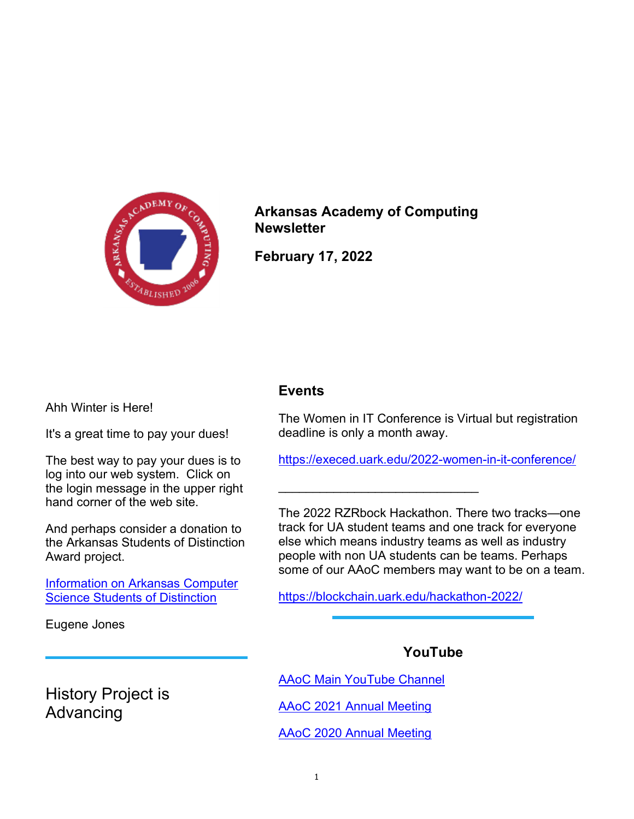

Arkansas Academy of Computing **Newsletter** 

February 17, 2022

Ahh Winter is Here!

It's a great time to pay your dues!

The best way to pay your dues is to log into our web system. Click on the login message in the upper right hand corner of the web site.

And perhaps consider a donation to the Arkansas Students of Distinction Award project.

Information on Arkansas Computer Science Students of Distinction

Eugene Jones

History Project is Advancing

## Events

The Women in IT Conference is Virtual but registration deadline is only a month away.

https://execed.uark.edu/2022-women-in-it-conference/

The 2022 RZRbock Hackathon. There two tracks—one track for UA student teams and one track for everyone else which means industry teams as well as industry people with non UA students can be teams. Perhaps some of our AAoC members may want to be on a team.

https://blockchain.uark.edu/hackathon-2022/

 $\mathcal{L}_\text{max}$  , where  $\mathcal{L}_\text{max}$  , we have the set of  $\mathcal{L}_\text{max}$ 

## YouTube

AAoC Main YouTube Channel

AAoC 2021 Annual Meeting

AAoC 2020 Annual Meeting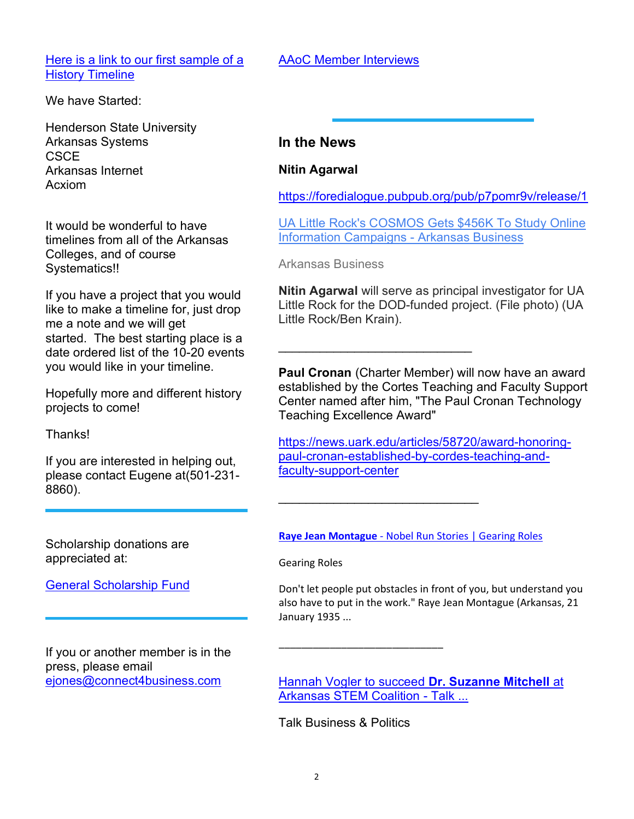Here is a link to our first sample of a **History Timeline** 

We have Started:

Henderson State University Arkansas Systems **CSCE** Arkansas Internet Acxiom

It would be wonderful to have timelines from all of the Arkansas Colleges, and of course Systematics!!

If you have a project that you would like to make a timeline for, just drop me a note and we will get started. The best starting place is a date ordered list of the 10-20 events you would like in your timeline.

Hopefully more and different history projects to come!

**Thanks!** 

If you are interested in helping out, please contact Eugene at(501-231- 8860).

AAoC Member Interviews

## In the News

Nitin Agarwal

https://foredialogue.pubpub.org/pub/p7pomr9v/release/1

UA Little Rock's COSMOS Gets \$456K To Study Online Information Campaigns - Arkansas Business

Arkansas Business

\_\_\_\_\_\_\_\_\_\_\_\_\_\_\_\_\_\_\_\_\_\_\_\_\_\_\_\_

 $\mathcal{L}_\text{max}$  , where  $\mathcal{L}_\text{max}$  , we have the set of  $\mathcal{L}_\text{max}$ 

Nitin Agarwal will serve as principal investigator for UA Little Rock for the DOD-funded project. (File photo) (UA Little Rock/Ben Krain).

Paul Cronan (Charter Member) will now have an award established by the Cortes Teaching and Faculty Support Center named after him, "The Paul Cronan Technology Teaching Excellence Award"

https://news.uark.edu/articles/58720/award-honoringpaul-cronan-established-by-cordes-teaching-andfaculty-support-center

Scholarship donations are appreciated at:

General Scholarship Fund

If you or another member is in the press, please email ejones@connect4business.com

Raye Jean Montague - Nobel Run Stories | Gearing Roles

Gearing Roles

Don't let people put obstacles in front of you, but understand you also have to put in the work." Raye Jean Montague (Arkansas, 21 January 1935 ...

**Hannah Vogler to succeed Dr. Suzanne Mitchell at** Arkansas STEM Coalition - Talk ...

Talk Business & Politics

\_\_\_\_\_\_\_\_\_\_\_\_\_\_\_\_\_\_\_\_\_\_\_\_\_\_\_\_\_